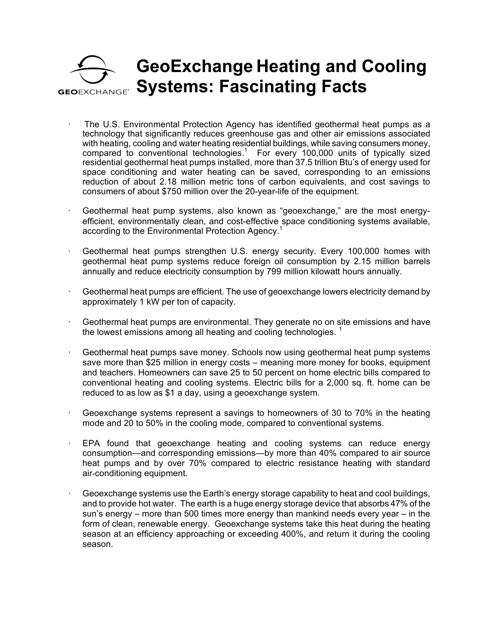## **GeoExchange Heating and Cooling Systems: Fascinating FactsGEOFXCHANGE®**

- · The U.S. Environmental Protection Agency has identified geothermal heat pumps as a technology that significantly reduces greenhouse gas and other air emissions associated with heating, cooling and water heating residential buildings, while saving consumers money, compared to conventional technologies. <sup>1</sup> For every 100,000 units of typically sized residential geothermal heat pumps installed, more than 37.5 trillion Btu's of energy used for space conditioning and water heating can be saved, corresponding to an emissions reduction of about 2.18 million metric tons of carbon equivalents, and cost savings to consumers of about \$750 million over the 20-year-life of the equipment.
- Geothermal heat pump systems, also known as "geoexchange," are the most energyefficient, environmentally clean, and cost-effective space conditioning systems available, according to the Environmental Protection Agency.<sup>1</sup>
- Geothermal heat pumps strengthen U.S. energy security. Every 100,000 homes with geothermal heat pump systems reduce foreign oil consumption by 2.15 million barrels annually and reduce electricity consumption by 799 million kilowatt hours annually.
- · Geothermal heat pumps are efficient. The use of geoexchange lowers electricity demand by approximately 1 kW per ton of capacity.
- · Geothermal heat pumps are environmental. They generate no on site emissions and have the lowest emissions among all heating and cooling technologies.  $<sup>1</sup>$ </sup>
- Geothermal heat pumps save money. Schools now using geothermal heat pump systems save more than \$25 million in energy costs – meaning more money for books, equipment and teachers. Homeowners can save 25 to 50 percent on home electric bills compared to conventional heating and cooling systems. Electric bills for a 2,000 sq. ft. home can be reduced to as low as \$1 a day, using a geoexchange system.
- · Geoexchange systems represent a savings to homeowners of 30 to 70% in the heating mode and 20 to 50% in the cooling mode, compared to conventional systems.
- · EPA found that geoexchange heating and cooling systems can reduce energy consumption—and corresponding emissions—by more than 40% compared to air source heat pumps and by over 70% compared to electric resistance heating with standard air-conditioning equipment.
- $\cdot$  Geoexchange systems use the Earth's energy storage capability to heat and cool buildings, and to provide hot water. The earth is a huge energy storage device that absorbs 47% of the sun's energy – more than 500 times more energy than mankind needs every year – in the form of clean, renewable energy. Geoexchange systems take this heat during the heating season at an efficiency approaching or exceeding 400%, and return it during the cooling season.